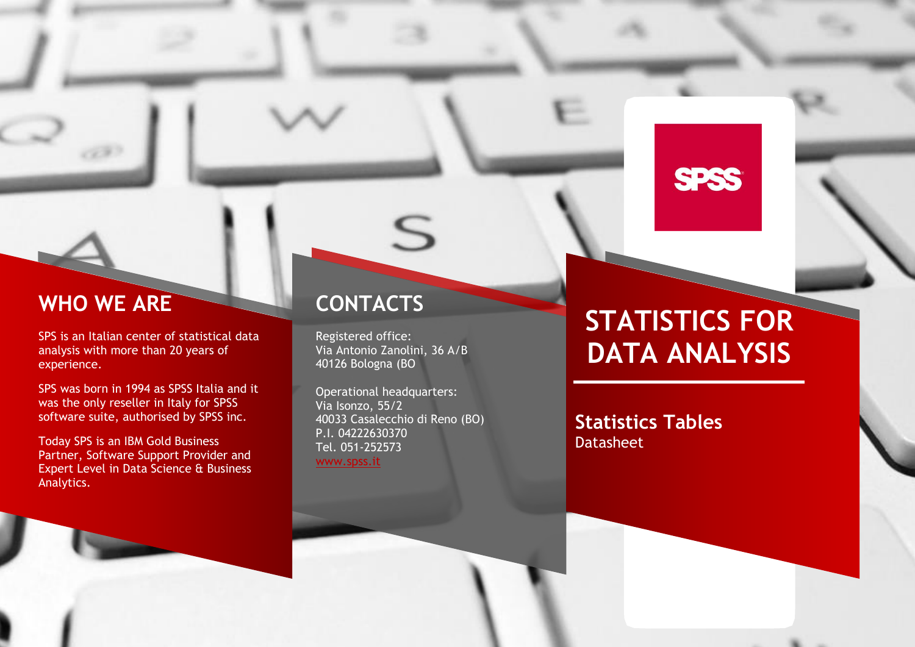# **WHO WE ARE**

d P

SPS is an Italian center of statistical data analysis with more than 20 years of experience.

SPS was born in 1994 as SPSS Italia and it was the only reseller in Italy for SPSS software suite, authorised by SPSS inc.

Today SPS is an IBM Gold Business Partner, Software Support Provider and Expert Level in Data Science & Business Analytics.

# **CONTACTS**

Registered office: Via Antonio Zanolini, 36 A/B 40126 Bologna (BO

S

Operational headquarters: Via Isonzo, 55/2 40033 Casalecchio di Reno (BO) P.I. 04222630370 Tel. 051-252573 [www.spss.it](http://www.spss.it/)

# **STATISTICS FOR DATA ANALYSIS**

**SPSS** 

**Statistics Tables** Datasheet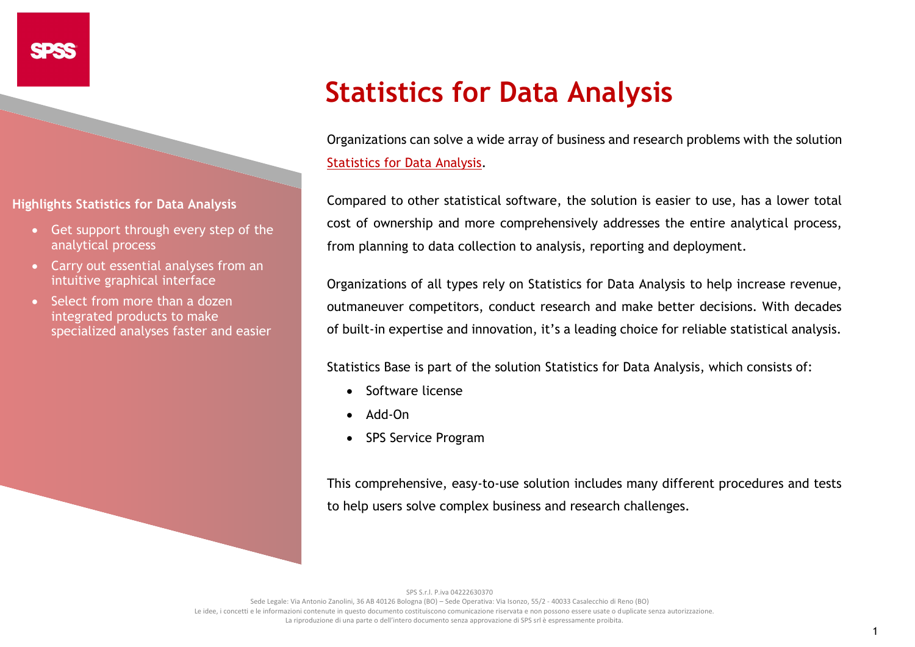**Highlights Statistics for Data Analysis**

- Get support through every step of the analytical process
- Carry out essential analyses from an intuitive graphical interface
- Select from more than a dozen integrated products to make specialized analyses faster and easier

# **Statistics for Data Analysis**

Organizations can solve a wide array of business and research problems with the solution [Statistics for Data Analysis.](https://www.spss.it/statistics-for-data-analysis)

Compared to other statistical software, the solution is easier to use, has a lower total cost of ownership and more comprehensively addresses the entire analytical process, from planning to data collection to analysis, reporting and deployment.

Organizations of all types rely on Statistics for Data Analysis to help increase revenue, outmaneuver competitors, conduct research and make better decisions. With decades of built-in expertise and innovation, it's a leading choice for reliable statistical analysis.

Statistics Base is part of the solution [Statistics for Data Analysis,](https://www.spss.it/statistics-for-data-analysis) which consists of:

- Software license
- Add-On
- SPS Service Program

This comprehensive, easy-to-use solution includes many different procedures and tests to help users solve complex business and research challenges.

SPS S.r.l. P.iva 04222630370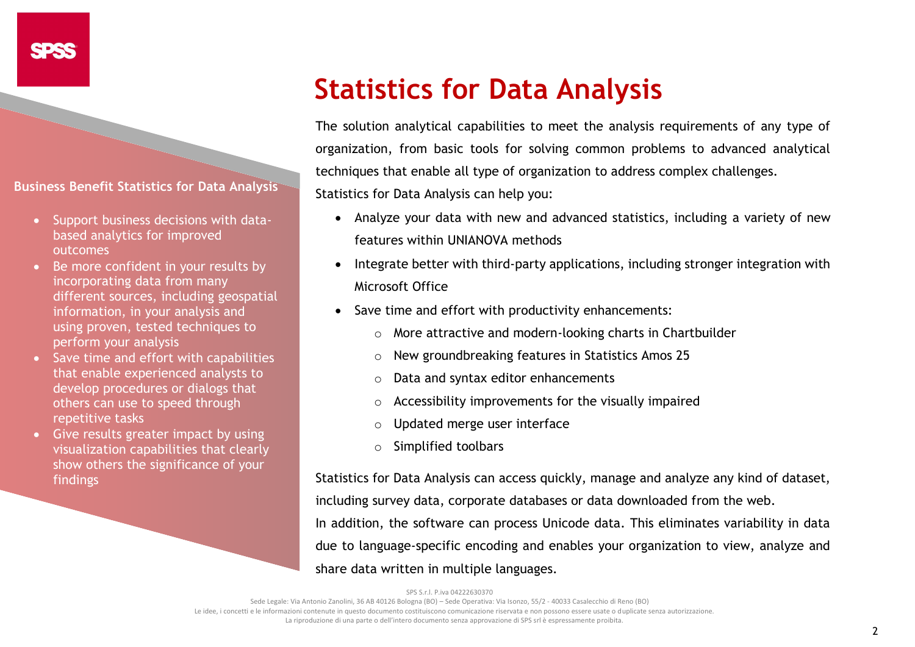**Business Benefit Statistics for Data Analysis**

- Support business decisions with databased analytics for improved outcomes
- Be more confident in your results by incorporating data from many different sources, including geospatial information, in your analysis and using proven, tested techniques to perform your analysis
- Save time and effort with capabilities that enable experienced analysts to develop procedures or dialogs that others can use to speed through repetitive tasks
- Give results greater impact by using visualization capabilities that clearly show others the significance of your findings

# **Statistics for Data Analysis**

The solution analytical capabilities to meet the analysis requirements of any type of organization, from basic tools for solving common problems to advanced analytical techniques that enable all type of organization to address complex challenges. Statistics for Data Analysis can help you:

• Analyze your data with new and advanced statistics, including a variety of new features within UNIANOVA methods

- Integrate better with third-party applications, including stronger integration with Microsoft Office
- Save time and effort with productivity enhancements:
	- o More attractive and modern-looking charts in Chartbuilder
	- o New groundbreaking features in Statistics Amos 25
	- o Data and syntax editor enhancements
	- o Accessibility improvements for the visually impaired
	- o Updated merge user interface
	- o Simplified toolbars

Statistics for Data Analysis can access quickly, manage and analyze any kind of dataset,

including survey data, corporate databases or data downloaded from the web.

In addition, the software can process Unicode data. This eliminates variability in data due to language-specific encoding and enables your organization to view, analyze and share data written in multiple languages.

SPS S.r.l. P.iva 04222630370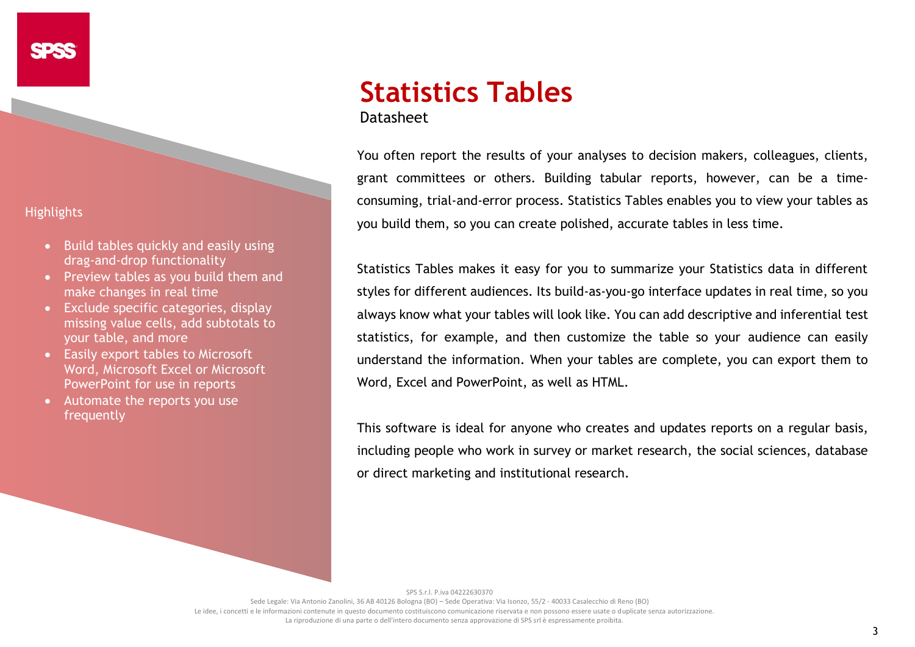# **Highlights**

- Build tables quickly and easily using drag-and-drop functionality
- Preview tables as you build them and make changes in real time
- Exclude specific categories, display missing value cells, add subtotals to your table, and more
- Easily export tables to Microsoft Word, Microsoft Excel or Microsoft PowerPoint for use in reports
- Automate the reports you use frequently

# **Statistics Tables** Datasheet

You often report the results of your analyses to decision makers, colleagues, clients, grant committees or others. Building tabular reports, however, can be a timeconsuming, trial-and-error process. Statistics Tables enables you to view your tables as you build them, so you can create polished, accurate tables in less time.

Statistics Tables makes it easy for you to summarize your Statistics data in different styles for different audiences. Its build-as-you-go interface updates in real time, so you always know what your tables will look like. You can add descriptive and inferential test statistics, for example, and then customize the table so your audience can easily understand the information. When your tables are complete, you can export them to Word, Excel and PowerPoint, as well as HTML.

This software is ideal for anyone who creates and updates reports on a regular basis, including people who work in survey or market research, the social sciences, database or direct marketing and institutional research.

SPS S.r.l. P.iva 04222630370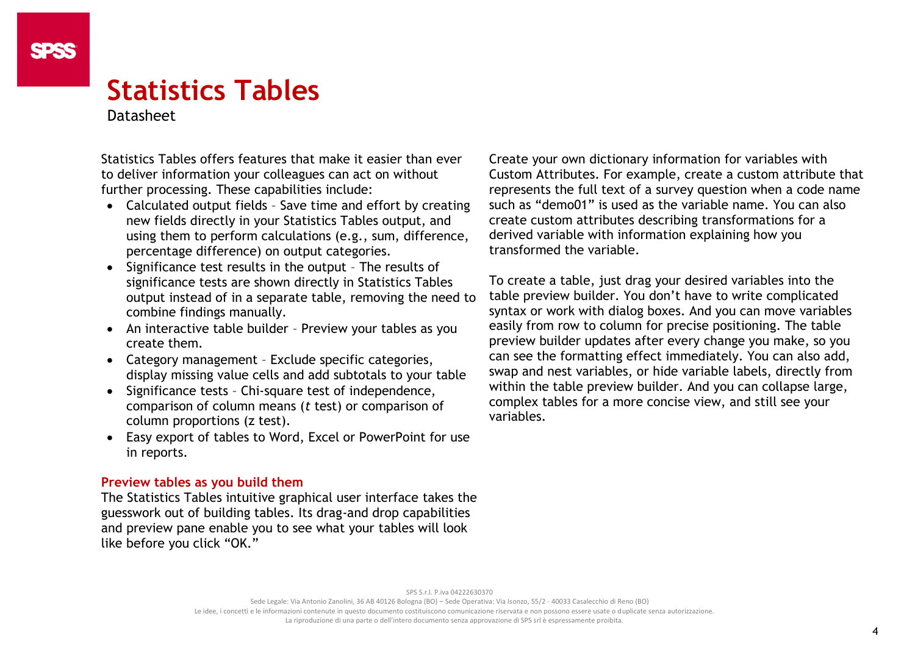# **Statistics Tables**

# Datasheet

Statistics Tables offers features that make it easier than ever to deliver information your colleagues can act on without further processing. These capabilities include:

- Calculated output fields Save time and effort by creating new fields directly in your Statistics Tables output, and using them to perform calculations (e.g., sum, difference, percentage difference) on output categories.
- Significance test results in the output The results of significance tests are shown directly in Statistics Tables output instead of in a separate table, removing the need to combine findings manually.
- An interactive table builder Preview your tables as you create them.
- Category management Exclude specific categories, display missing value cells and add subtotals to your table
- Significance tests Chi-square test of independence, comparison of column means (*t* test) or comparison of column proportions (z test).
- Easy export of tables to Word, Excel or PowerPoint for use in reports.

# **Preview tables as you build them**

The Statistics Tables intuitive graphical user interface takes the guesswork out of building tables. Its drag-and drop capabilities and preview pane enable you to see what your tables will look like before you click "OK."

Create your own dictionary information for variables with Custom Attributes. For example, create a custom attribute that represents the full text of a survey question when a code name such as "demo01" is used as the variable name. You can also create custom attributes describing transformations for a derived variable with information explaining how you transformed the variable.

To create a table, just drag your desired variables into the table preview builder. You don't have to write complicated syntax or work with dialog boxes. And you can move variables easily from row to column for precise positioning. The table preview builder updates after every change you make, so you can see the formatting effect immediately. You can also add, swap and nest variables, or hide variable labels, directly from within the table preview builder. And you can collapse large, complex tables for a more concise view, and still see your variables.

SPS S.r.l. P.iva 04222630370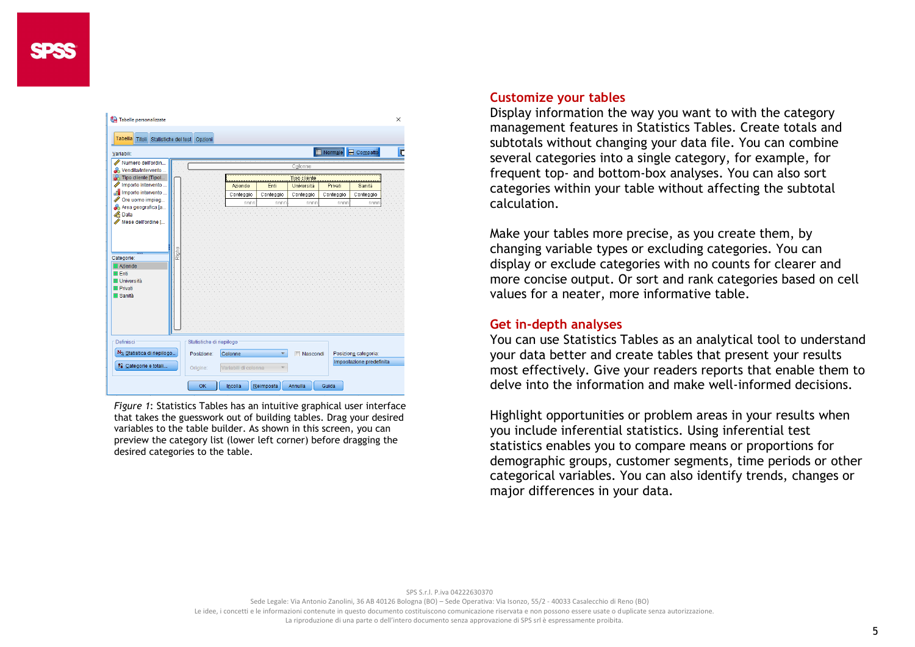| Tabelle personalizzate<br>Tabella Titoli Statistiche del test Opzioni                                              |       |                          |                                |           |            |                           |                          | $\times$ |
|--------------------------------------------------------------------------------------------------------------------|-------|--------------------------|--------------------------------|-----------|------------|---------------------------|--------------------------|----------|
| Variabili:                                                                                                         |       |                          |                                |           |            | Normale <b>B</b> Compatto |                          | E        |
| Numero dell'ordin<br>& Vendita/Intervento<br><sup>2</sup> Tipo cliente [Tipol                                      |       |                          | Colonne<br><b>Tipo cliente</b> |           |            |                           |                          |          |
| Importo intervento                                                                                                 |       |                          | Aziende                        | Enti      | Università | Privati                   | Sanità                   |          |
| Importo intervento                                                                                                 |       |                          | Conteggio                      | Conteggio | Conteggio  | Conteggio                 | Conteggio                |          |
| Ore uomo impieg<br>Area geografica [a                                                                              |       |                          | nnnn                           | nnnn      | nnnn       | nnnn                      | nnnn                     |          |
| <b>A</b> Data                                                                                                      |       |                          |                                |           |            |                           |                          |          |
| Mese dell'ordine [                                                                                                 |       |                          |                                |           |            |                           |                          |          |
| Categorie:<br><b>El Aziende</b><br><b>IFF</b> Enti<br><b>H</b> Università<br><b>III Privati</b><br><b>H</b> Sanità | Righe |                          |                                |           |            |                           |                          |          |
| Definisci                                                                                                          |       | Statistiche di riepilogo |                                |           |            |                           |                          |          |
| N <sub>%</sub> Statistica di riepilogo                                                                             |       | Posizione:               | Colonne                        | ۳         | Nascondi   |                           | Posizione categoria:     |          |
| 88 Categorie e totali                                                                                              |       | Origine:                 | Variabili di colonna           | v         |            |                           | Impostazione predefinita |          |
|                                                                                                                    |       | OK                       | Incolla                        | Reimposta | Annulla    | Guida                     |                          |          |

*Figure 1*: Statistics Tables has an intuitive graphical user interface that takes the guesswork out of building tables. Drag your desired variables to the table builder. As shown in this screen, you can preview the category list (lower left corner) before dragging the desired categories to the table.

#### **Customize your tables**

Display information the way you want to with the category management features in Statistics Tables. Create totals and subtotals without changing your data file. You can combine several categories into a single category, for example, for frequent top- and bottom-box analyses. You can also sort categories within your table without affecting the subtotal calculation.

Make your tables more precise, as you create them, by changing variable types or excluding categories. You can display or exclude categories with no counts for clearer and more concise output. Or sort and rank categories based on cell values for a neater, more informative table.

## **Get in-depth analyses**

You can use Statistics Tables as an analytical tool to understand your data better and create tables that present your results most effectively. Give your readers reports that enable them to delve into the information and make well-informed decisions.

Highlight opportunities or problem areas in your results when you include inferential statistics. Using inferential test statistics enables you to compare means or proportions for demographic groups, customer segments, time periods or other categorical variables. You can also identify trends, changes or major differences in your data.

Sede Legale: Via Antonio Zanolini, 36 AB 40126 Bologna (BO) – Sede Operativa: Via Isonzo, 55/2 - 40033 Casalecchio di Reno (BO)

Le idee, i concetti e le informazioni contenute in questo documento costituiscono comunicazione riservata e non possono essere usate o duplicate senza autorizzazione

La riproduzione di una parte o dell'intero documento senza approvazione di SPS srl è espressamente proibita.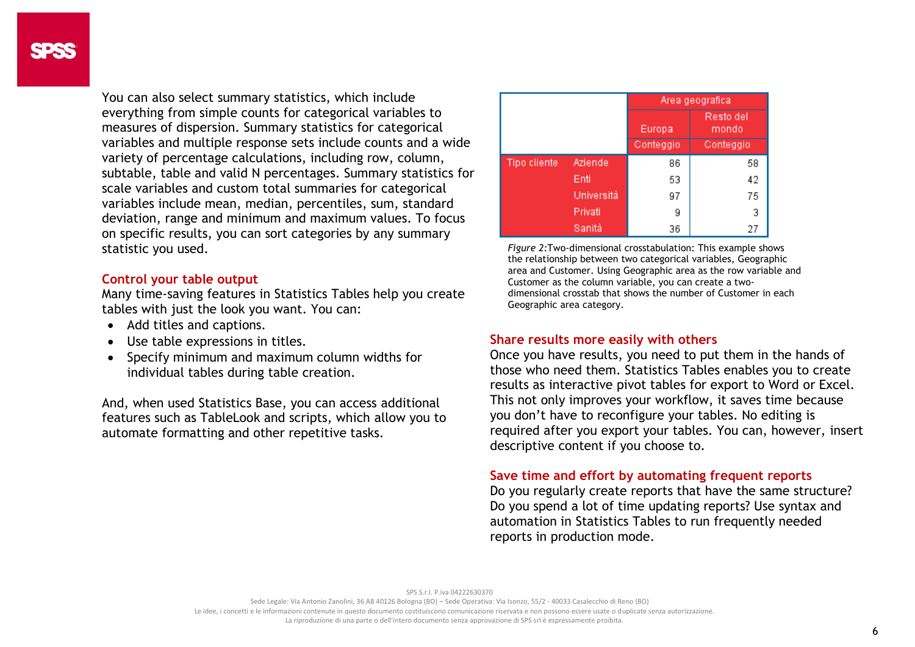You can also select summary statistics, which include everything from simple counts for categorical variables to measures of dispersion. Summary statistics for categorical variables and multiple response sets include counts and a wide variety of percentage calculations, including row, column, subtable, table and valid N percentages. Summary statistics for scale variables and custom total summaries for categorical variables include mean, median, percentiles, sum, standard deviation, range and minimum and maximum values. To focus on specific results, you can sort categories by any summary statistic you used.

## **Control your table output**

Many time-saving features in Statistics Tables help you create tables with just the look you want. You can:

- Add titles and captions.
- Use table expressions in titles.
- Specify minimum and maximum column widths for individual tables during table creation.

And, when used Statistics Base, you can access additional features such as TableLook and scripts, which allow you to automate formatting and other repetitive tasks.

|              |            | Area geografica |                    |  |  |
|--------------|------------|-----------------|--------------------|--|--|
|              |            | Europa          | Resto del<br>mondo |  |  |
|              |            | Conteggio       | Conteggio          |  |  |
| Tipo cliente | Aziende    | 86              | 58                 |  |  |
|              | Enti       | 53              | 42                 |  |  |
|              | Università | 97              | 75                 |  |  |
|              | Privati    | 9               | 3                  |  |  |
|              | Sanità     | 36              | 27                 |  |  |

*Figure 2:*Two-dimensional crosstabulation: This example shows the relationship between two categorical variables, Geographic area and Customer. Using Geographic area as the row variable and Customer as the column variable, you can create a twodimensional crosstab that shows the number of Customer in each Geographic area category.

# **Share results more easily with others**

Once you have results, you need to put them in the hands of those who need them. Statistics Tables enables you to create results as interactive pivot tables for export to Word or Excel. This not only improves your workflow, it saves time because you don't have to reconfigure your tables. No editing is required after you export your tables. You can, however, insert descriptive content if you choose to.

#### **Save time and effort by automating frequent reports**

Do you regularly create reports that have the same structure? Do you spend a lot of time updating reports? Use syntax and automation in Statistics Tables to run frequently needed reports in production mode.

SPS S.r.l. P.iva 04222630370

Sede Legale: Via Antonio Zanolini, 36 AB 40126 Bologna (BO) – Sede Operativa: Via Isonzo, 55/2 - 40033 Casalecchio di Reno (BO) Le idee, i concetti e le informazioni contenute in questo documento costituiscono comunicazione riservata e non possono essere usate o duplicate senza autorizzazione

La riproduzione di una parte o dell'intero documento senza approvazione di SPS srl è espressamente proibita.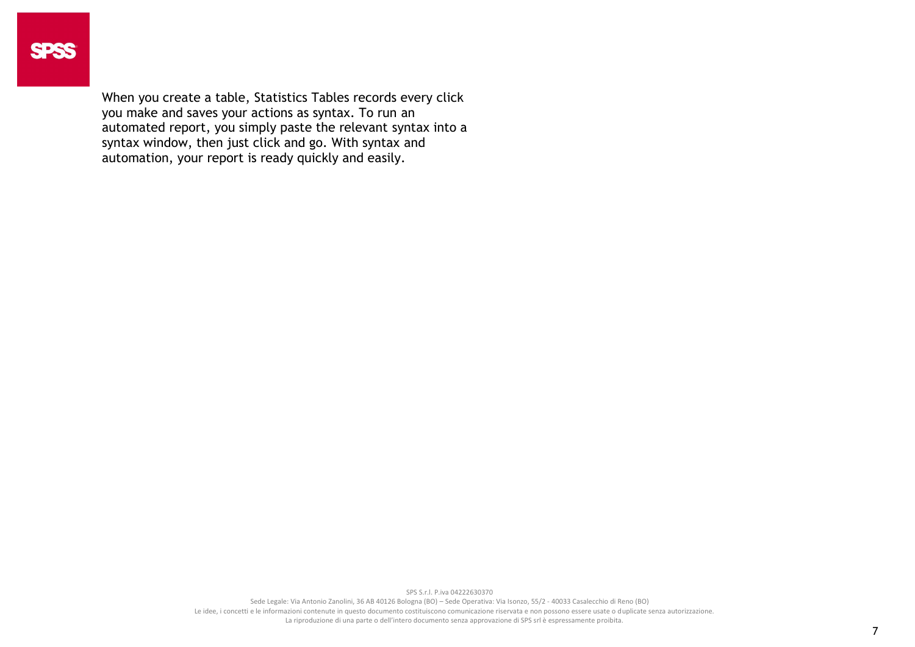When you create a table, Statistics Tables records every click you make and saves your actions as syntax. To run an automated report, you simply paste the relevant syntax into a syntax window, then just click and go. With syntax and automation, your report is ready quickly and easily.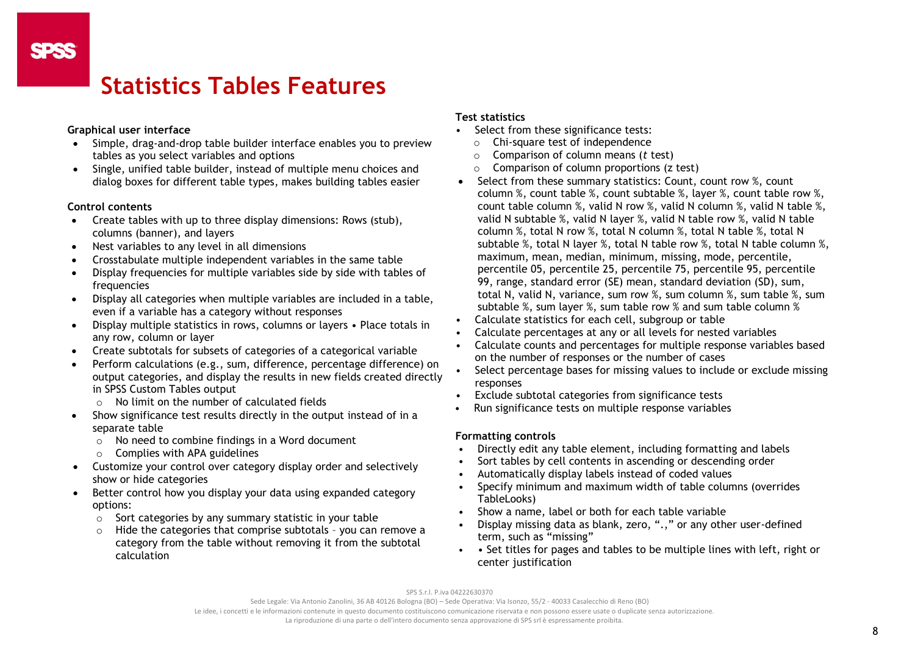# **Statistics Tables Features**

#### **Graphical user interface**

- Simple, drag-and-drop table builder interface enables you to preview tables as you select variables and options
- Single, unified table builder, instead of multiple menu choices and dialog boxes for different table types, makes building tables easier

#### **Control contents**

- Create tables with up to three display dimensions: Rows (stub), columns (banner), and layers
- Nest variables to any level in all dimensions
- Crosstabulate multiple independent variables in the same table
- Display frequencies for multiple variables side by side with tables of frequencies
- Display all categories when multiple variables are included in a table, even if a variable has a category without responses
- Display multiple statistics in rows, columns or layers Place totals in any row, column or layer
- Create subtotals for subsets of categories of a categorical variable
- Perform calculations (e.g., sum, difference, percentage difference) on output categories, and display the results in new fields created directly in SPSS Custom Tables output
	- o No limit on the number of calculated fields
- Show significance test results directly in the output instead of in a separate table
	- o No need to combine findings in a Word document
	- o Complies with APA guidelines
- Customize your control over category display order and selectively show or hide categories
- Better control how you display your data using expanded category options:
	- o Sort categories by any summary statistic in your table
	- o Hide the categories that comprise subtotals you can remove a category from the table without removing it from the subtotal calculation

#### **Test statistics**

- Select from these significance tests:
	- $\circ$  Chi-square test of independence
	- o Comparison of column means (*t* test)
	- $\circ$  Comparison of column proportions (z test)
- Select from these summary statistics: Count, count row %, count column %, count table %, count subtable %, layer %, count table row %, count table column %, valid N row %, valid N column %, valid N table %, valid N subtable %, valid N layer %, valid N table row %, valid N table column %, total N row %, total N column %, total N table %, total N subtable %, total N layer %, total N table row %, total N table column %, maximum, mean, median, minimum, missing, mode, percentile, percentile 05, percentile 25, percentile 75, percentile 95, percentile 99, range, standard error (SE) mean, standard deviation (SD), sum, total N, valid N, variance, sum row %, sum column %, sum table %, sum subtable %, sum layer %, sum table row % and sum table column %
- Calculate statistics for each cell, subgroup or table
- Calculate percentages at any or all levels for nested variables
- Calculate counts and percentages for multiple response variables based on the number of responses or the number of cases
- Select percentage bases for missing values to include or exclude missing responses
- Exclude subtotal categories from significance tests
- Run significance tests on multiple response variables

#### **Formatting controls**

- Directly edit any table element, including formatting and labels
- Sort tables by cell contents in ascending or descending order
- Automatically display labels instead of coded values
- Specify minimum and maximum width of table columns (overrides TableLooks)
- Show a name, label or both for each table variable
- Display missing data as blank, zero, ".," or any other user-defined term, such as "missing"
- • Set titles for pages and tables to be multiple lines with left, right or center justification

SPS S.r.l. P.iva 04222630370

Sede Legale: Via Antonio Zanolini, 36 AB 40126 Bologna (BO) – Sede Operativa: Via Isonzo, 55/2 - 40033 Casalecchio di Reno (BO)

Le idee, i concetti e le informazioni contenute in questo documento costituiscono comunicazione riservata e non possono essere usate o duplicate senza autorizzazione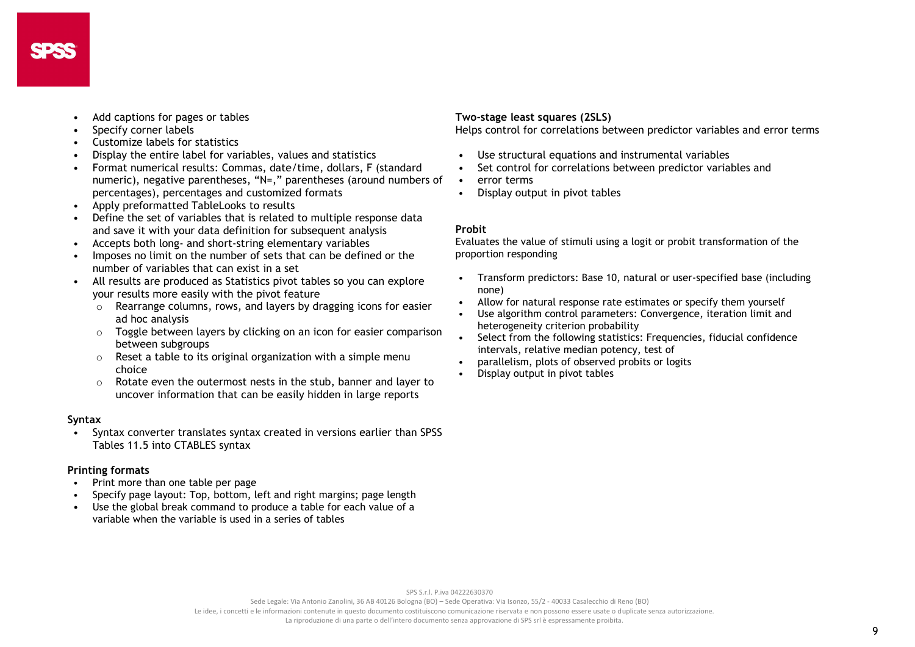- Add captions for pages or tables
- Specify corner labels
- Customize labels for statistics
- Display the entire label for variables, values and statistics
- Format numerical results: Commas, date/time, dollars, F (standard numeric), negative parentheses, "N=," parentheses (around numbers of percentages), percentages and customized formats
- Apply preformatted TableLooks to results
- Define the set of variables that is related to multiple response data and save it with your data definition for subsequent analysis
- Accepts both long- and short-string elementary variables
- Imposes no limit on the number of sets that can be defined or the number of variables that can exist in a set
- All results are produced as Statistics pivot tables so you can explore your results more easily with the pivot feature
	- $\sim$  Rearrange columns, rows, and layers by dragging icons for easier ad hoc analysis
	- o Toggle between layers by clicking on an icon for easier comparison between subgroups
	- $\circ$  Reset a table to its original organization with a simple menu choice
	- o Rotate even the outermost nests in the stub, banner and layer to uncover information that can be easily hidden in large reports

#### **Syntax**

• Syntax converter translates syntax created in versions earlier than SPSS Tables 11.5 into CTABLES syntax

#### **Printing formats**

- Print more than one table per page
- Specify page layout: Top, bottom, left and right margins; page length
- Use the global break command to produce a table for each value of a variable when the variable is used in a series of tables

#### **Two-stage least squares (2SLS)**

Helps control for correlations between predictor variables and error terms

- Use structural equations and instrumental variables
- Set control for correlations between predictor variables and
- error terms
- Display output in pivot tables

#### **Probit**

Evaluates the value of stimuli using a logit or probit transformation of the proportion responding

- Transform predictors: Base 10, natural or user-specified base (including none)
- Allow for natural response rate estimates or specify them yourself
- Use algorithm control parameters: Convergence, iteration limit and heterogeneity criterion probability
- Select from the following statistics: Frequencies, fiducial confidence intervals, relative median potency, test of
- parallelism, plots of observed probits or logits
- Display output in pivot tables

SPS S.r.l. P.iva 04222630370

Sede Legale: Via Antonio Zanolini, 36 AB 40126 Bologna (BO) – Sede Operativa: Via Isonzo, 55/2 - 40033 Casalecchio di Reno (BO)

Le idee, i concetti e le informazioni contenute in questo documento costituiscono comunicazione riservata e non possono essere usate o duplicate senza autorizzazione

La riproduzione di una parte o dell'intero documento senza approvazione di SPS srl è espressamente proibita.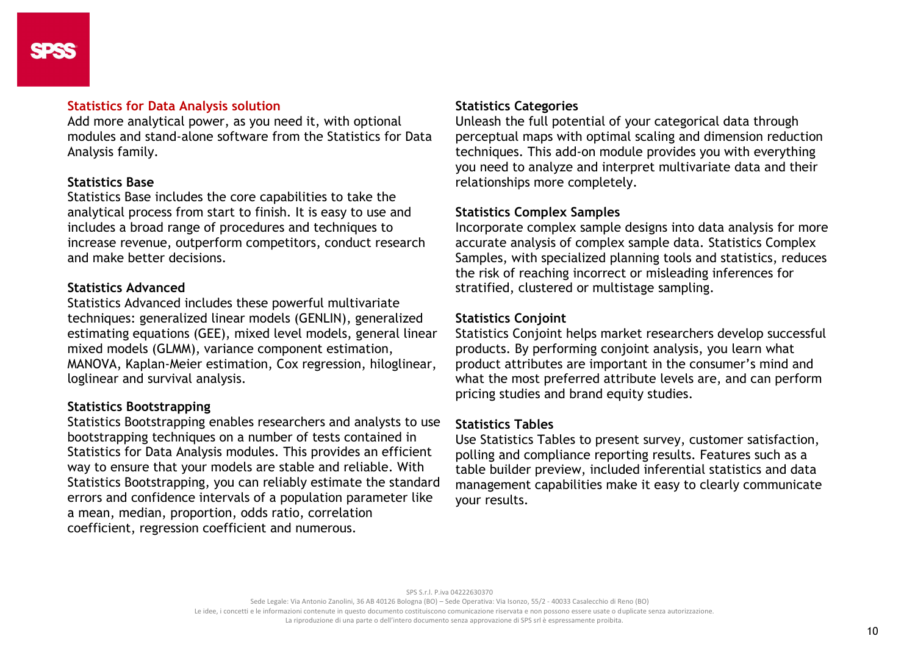#### **Statistics for Data Analysis solution**

Add more analytical power, as you need it, with optional modules and stand-alone software from the Statistics for Data Analysis family.

# **Statistics Base**

Statistics Base includes the core capabilities to take the analytical process from start to finish. It is easy to use and includes a broad range of procedures and techniques to increase revenue, outperform competitors, conduct research and make better decisions.

# **Statistics Advanced**

Statistics Advanced includes these powerful multivariate techniques: generalized linear models (GENLIN), generalized estimating equations (GEE), mixed level models, general linear mixed models (GLMM), variance component estimation, MANOVA, Kaplan-Meier estimation, Cox regression, hiloglinear, loglinear and survival analysis.

# **Statistics Bootstrapping**

Statistics Bootstrapping enables researchers and analysts to use bootstrapping techniques on a number of tests contained in Statistics for Data Analysis modules. This provides an efficient way to ensure that your models are stable and reliable. With Statistics Bootstrapping, you can reliably estimate the standard errors and confidence intervals of a population parameter like a mean, median, proportion, odds ratio, correlation coefficient, regression coefficient and numerous.

# **Statistics Categories**

Unleash the full potential of your categorical data through perceptual maps with optimal scaling and dimension reduction techniques. This add-on module provides you with everything you need to analyze and interpret multivariate data and their relationships more completely.

# **Statistics Complex Samples**

Incorporate complex sample designs into data analysis for more accurate analysis of complex sample data. Statistics Complex Samples, with specialized planning tools and statistics, reduces the risk of reaching incorrect or misleading inferences for stratified, clustered or multistage sampling.

# **Statistics Conjoint**

Statistics Conjoint helps market researchers develop successful products. By performing conjoint analysis, you learn what product attributes are important in the consumer's mind and what the most preferred attribute levels are, and can perform pricing studies and brand equity studies.

# **Statistics Tables**

Use Statistics Tables to present survey, customer satisfaction, polling and compliance reporting results. Features such as a table builder preview, included inferential statistics and data management capabilities make it easy to clearly communicate your results.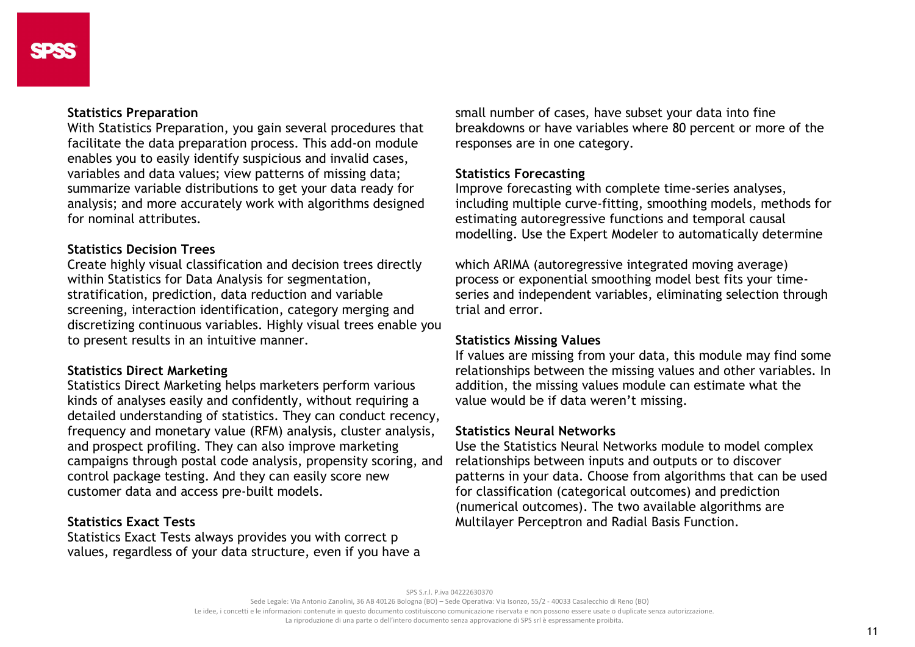### **Statistics Preparation**

With Statistics Preparation, you gain several procedures that facilitate the data preparation process. This add-on module enables you to easily identify suspicious and invalid cases, variables and data values; view patterns of missing data; summarize variable distributions to get your data ready for analysis; and more accurately work with algorithms designed for nominal attributes.

# **Statistics Decision Trees**

Create highly visual classification and decision trees directly within Statistics for Data Analysis for segmentation, stratification, prediction, data reduction and variable screening, interaction identification, category merging and discretizing continuous variables. Highly visual trees enable you to present results in an intuitive manner.

# **Statistics Direct Marketing**

Statistics Direct Marketing helps marketers perform various kinds of analyses easily and confidently, without requiring a detailed understanding of statistics. They can conduct recency, frequency and monetary value (RFM) analysis, cluster analysis, and prospect profiling. They can also improve marketing campaigns through postal code analysis, propensity scoring, and control package testing. And they can easily score new customer data and access pre-built models.

# **Statistics Exact Tests**

Statistics Exact Tests always provides you with correct p values, regardless of your data structure, even if you have a small number of cases, have subset your data into fine breakdowns or have variables where 80 percent or more of the responses are in one category.

## **Statistics Forecasting**

Improve forecasting with complete time-series analyses, including multiple curve-fitting, smoothing models, methods for estimating autoregressive functions and temporal causal modelling. Use the Expert Modeler to automatically determine

which ARIMA (autoregressive integrated moving average) process or exponential smoothing model best fits your timeseries and independent variables, eliminating selection through trial and error.

# **Statistics Missing Values**

If values are missing from your data, this module may find some relationships between the missing values and other variables. In addition, the missing values module can estimate what the value would be if data weren't missing.

#### **Statistics Neural Networks**

Use the Statistics Neural Networks module to model complex relationships between inputs and outputs or to discover patterns in your data. Choose from algorithms that can be used for classification (categorical outcomes) and prediction (numerical outcomes). The two available algorithms are Multilayer Perceptron and Radial Basis Function.

SPS S.r.l. P.iva 04222630370

Sede Legale: Via Antonio Zanolini, 36 AB 40126 Bologna (BO) – Sede Operativa: Via Isonzo, 55/2 - 40033 Casalecchio di Reno (BO)

Le idee, i concetti e le informazioni contenute in questo documento costituiscono comunicazione riservata e non possono essere usate o duplicate senza autorizzazione

La riproduzione di una parte o dell'intero documento senza approvazione di SPS srl è espressamente proibita.